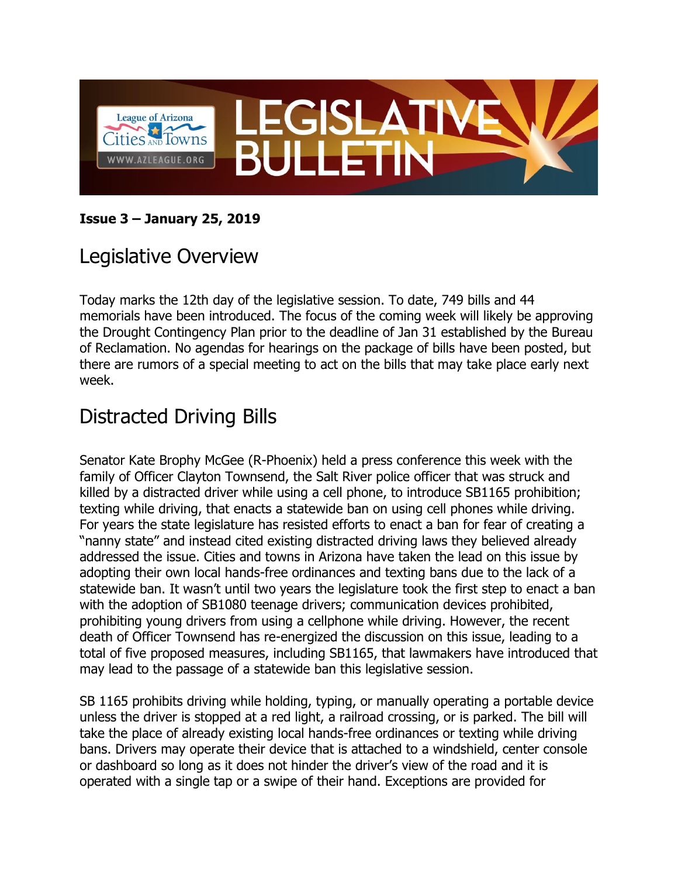

#### **Issue 3 – January 25, 2019**

## Legislative Overview

Today marks the 12th day of the legislative session. To date, 749 bills and 44 memorials have been introduced. The focus of the coming week will likely be approving the Drought Contingency Plan prior to the deadline of Jan 31 established by the Bureau of Reclamation. No agendas for hearings on the package of bills have been posted, but there are rumors of a special meeting to act on the bills that may take place early next week.

## Distracted Driving Bills

Senator Kate Brophy McGee (R-Phoenix) held a press conference this week with the family of Officer Clayton Townsend, the Salt River police officer that was struck and killed by a distracted driver while using a cell phone, to introduce SB1165 prohibition; texting while driving, that enacts a statewide ban on using cell phones while driving. For years the state legislature has resisted efforts to enact a ban for fear of creating a "nanny state" and instead cited existing distracted driving laws they believed already addressed the issue. Cities and towns in Arizona have taken the lead on this issue by adopting their own local hands-free ordinances and texting bans due to the lack of a statewide ban. It wasn't until two years the legislature took the first step to enact a ban with the adoption of SB1080 teenage drivers; communication devices prohibited, prohibiting young drivers from using a cellphone while driving. However, the recent death of Officer Townsend has re-energized the discussion on this issue, leading to a total of five proposed measures, including SB1165, that lawmakers have introduced that may lead to the passage of a statewide ban this legislative session.

SB 1165 prohibits driving while holding, typing, or manually operating a portable device unless the driver is stopped at a red light, a railroad crossing, or is parked. The bill will take the place of already existing local hands-free ordinances or texting while driving bans. Drivers may operate their device that is attached to a windshield, center console or dashboard so long as it does not hinder the driver's view of the road and it is operated with a single tap or a swipe of their hand. Exceptions are provided for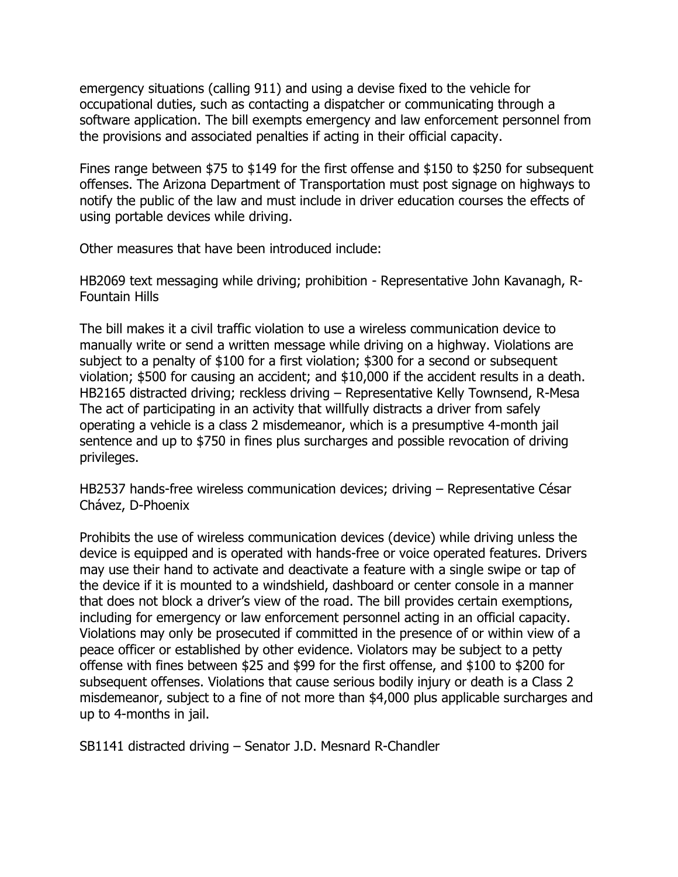emergency situations (calling 911) and using a devise fixed to the vehicle for occupational duties, such as contacting a dispatcher or communicating through a software application. The bill exempts emergency and law enforcement personnel from the provisions and associated penalties if acting in their official capacity.

Fines range between \$75 to \$149 for the first offense and \$150 to \$250 for subsequent offenses. The Arizona Department of Transportation must post signage on highways to notify the public of the law and must include in driver education courses the effects of using portable devices while driving.

Other measures that have been introduced include:

HB2069 text messaging while driving; prohibition - Representative John Kavanagh, R-Fountain Hills

The bill makes it a civil traffic violation to use a wireless communication device to manually write or send a written message while driving on a highway. Violations are subject to a penalty of \$100 for a first violation; \$300 for a second or subsequent violation; \$500 for causing an accident; and \$10,000 if the accident results in a death. HB2165 distracted driving; reckless driving – Representative Kelly Townsend, R-Mesa The act of participating in an activity that willfully distracts a driver from safely operating a vehicle is a class 2 misdemeanor, which is a presumptive 4-month jail sentence and up to \$750 in fines plus surcharges and possible revocation of driving privileges.

HB2537 hands-free wireless communication devices; driving – Representative César Chávez, D-Phoenix

Prohibits the use of wireless communication devices (device) while driving unless the device is equipped and is operated with hands-free or voice operated features. Drivers may use their hand to activate and deactivate a feature with a single swipe or tap of the device if it is mounted to a windshield, dashboard or center console in a manner that does not block a driver's view of the road. The bill provides certain exemptions, including for emergency or law enforcement personnel acting in an official capacity. Violations may only be prosecuted if committed in the presence of or within view of a peace officer or established by other evidence. Violators may be subject to a petty offense with fines between \$25 and \$99 for the first offense, and \$100 to \$200 for subsequent offenses. Violations that cause serious bodily injury or death is a Class 2 misdemeanor, subject to a fine of not more than \$4,000 plus applicable surcharges and up to 4-months in jail.

SB1141 distracted driving – Senator J.D. Mesnard R-Chandler